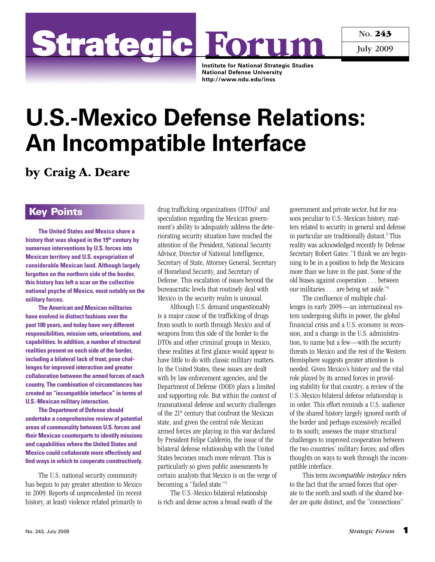July 2009

Strategic Forum No. 243

**Institute for National Strategic Studies National Defense University http://www.ndu.edu/inss**

# **U.S.-Mexico Defense Relations: An Incompatible Interface**

by Craig A. Deare

#### Key Points

**The United States and Mexico share a**  history that was shaped in the 19<sup>th</sup> century by **numerous interventions by U.S. forces into Mexican territory and U.S. expropriation of considerable Mexican land. Although largely forgotten on the northern side of the border, this history has left a scar on the collective national psyche of Mexico, most notably on the military forces.**

**The American and Mexican militaries have evolved in distinct fashions over the past 100 years, and today have very different responsibilities, mission sets, orientations, and capabilities. In addition, a number of structural realities present on each side of the border, including a bilateral lack of trust, pose challenges for improved interaction and greater collaboration between the armed forces of each country. The combination of circumstances has created an "incompatible interface" in terms of U.S.-Mexican military interaction.**

**The Department of Defense should undertake a comprehensive review of potential areas of commonality between U.S. forces and their Mexican counterparts to identify missions and capabilities where the United States and Mexico could collaborate more effectively and find ways in which to cooperate constructively.**

The U.S. national security community has begun to pay greater attention to Mexico in 2009. Reports of unprecedented (in recent history, at least) violence related primarily to

drug trafficking organizations (DTOs)<sup>1</sup> and speculation regarding the Mexican government's ability to adequately address the deteriorating security situation have reached the attention of the President, National Security Advisor, Director of National Intelligence, Secretary of State, Attorney General, Secretary of Homeland Security, and Secretary of Defense. This escalation of issues beyond the bureaucratic levels that routinely deal with Mexico in the security realm is unusual.

Although U.S. demand unquestionably is a major cause of the trafficking of drugs from south to north through Mexico and of weapons from this side of the border to the DTOs and other criminal groups in Mexico, these realities at first glance would appear to have little to do with classic military matters. In the United States, these issues are dealt with by law enforcement agencies, and the Department of Defense (DOD) plays a limited and supporting role. But within the context of transnational defense and security challenges of the 21st century that confront the Mexican state, and given the central role Mexican armed forces are playing in this war declared by President Felipe Calderón, the issue of the bilateral defense relationship with the United States becomes much more relevant. This is particularly so given public assessments by certain analysts that Mexico is on the verge of becoming a "failed state."2

The U.S.-Mexico bilateral relationship is rich and dense across a broad swath of the government and private sector, but for reasons peculiar to U.S.-Mexican history, matters related to security in general and defense in particular are traditionally distant.<sup>3</sup> This reality was acknowledged recently by Defense Secretary Robert Gates: "I think we are beginning to be in a position to help the Mexicans more than we have in the past. Some of the old biases against cooperation . . . between our militaries . . . are being set aside."4

The confluence of multiple challenges in early 2009—an international system undergoing shifts in power, the global financial crisis and a U.S. economy in recession, and a change in the U.S. administration, to name but a few—with the security threats in Mexico and the rest of the Western Hemisphere suggests greater attention is needed. Given Mexico's history and the vital role played by its armed forces in providing stability for that country, a review of the U.S.-Mexico bilateral defense relationship is in order. This effort reminds a U.S. audience of the shared history largely ignored north of the border and perhaps excessively recalled to its south; assesses the major structural challenges to improved cooperation between the two countries' military forces; and offers thoughts on ways to work through the incompatible interface.

This term *incompatible interface* refers to the fact that the armed forces that operate to the north and south of the shared border are quite distinct, and the "connections"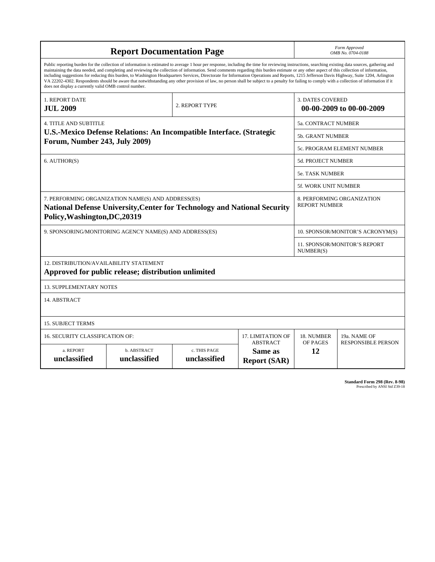| <b>Report Documentation Page</b>                                                                                                                                                                                                                                                                                                                                                                                                                                                                                                                                                                                                                                                                                                                                                                                                                                   |                             |                              |                                                     | Form Approved<br>OMB No. 0704-0188                 |                           |
|--------------------------------------------------------------------------------------------------------------------------------------------------------------------------------------------------------------------------------------------------------------------------------------------------------------------------------------------------------------------------------------------------------------------------------------------------------------------------------------------------------------------------------------------------------------------------------------------------------------------------------------------------------------------------------------------------------------------------------------------------------------------------------------------------------------------------------------------------------------------|-----------------------------|------------------------------|-----------------------------------------------------|----------------------------------------------------|---------------------------|
| Public reporting burden for the collection of information is estimated to average 1 hour per response, including the time for reviewing instructions, searching existing data sources, gathering and<br>maintaining the data needed, and completing and reviewing the collection of information. Send comments regarding this burden estimate or any other aspect of this collection of information,<br>including suggestions for reducing this burden, to Washington Headquarters Services, Directorate for Information Operations and Reports, 1215 Jefferson Davis Highway, Suite 1204, Arlington<br>VA 22202-4302. Respondents should be aware that notwithstanding any other provision of law, no person shall be subject to a penalty for failing to comply with a collection of information if it<br>does not display a currently valid OMB control number. |                             |                              |                                                     |                                                    |                           |
| <b>1. REPORT DATE</b><br><b>JUL 2009</b>                                                                                                                                                                                                                                                                                                                                                                                                                                                                                                                                                                                                                                                                                                                                                                                                                           | 2. REPORT TYPE              |                              | <b>3. DATES COVERED</b><br>00-00-2009 to 00-00-2009 |                                                    |                           |
| <b>4. TITLE AND SUBTITLE</b>                                                                                                                                                                                                                                                                                                                                                                                                                                                                                                                                                                                                                                                                                                                                                                                                                                       |                             |                              |                                                     | 5a. CONTRACT NUMBER                                |                           |
| U.S.-Mexico Defense Relations: An Incompatible Interface. (Strategic<br>Forum, Number 243, July 2009)                                                                                                                                                                                                                                                                                                                                                                                                                                                                                                                                                                                                                                                                                                                                                              |                             |                              |                                                     | <b>5b. GRANT NUMBER</b>                            |                           |
|                                                                                                                                                                                                                                                                                                                                                                                                                                                                                                                                                                                                                                                                                                                                                                                                                                                                    |                             |                              |                                                     | 5c. PROGRAM ELEMENT NUMBER                         |                           |
| 6. AUTHOR(S)                                                                                                                                                                                                                                                                                                                                                                                                                                                                                                                                                                                                                                                                                                                                                                                                                                                       |                             |                              |                                                     | <b>5d. PROJECT NUMBER</b>                          |                           |
|                                                                                                                                                                                                                                                                                                                                                                                                                                                                                                                                                                                                                                                                                                                                                                                                                                                                    |                             |                              |                                                     | 5e. TASK NUMBER                                    |                           |
|                                                                                                                                                                                                                                                                                                                                                                                                                                                                                                                                                                                                                                                                                                                                                                                                                                                                    |                             |                              |                                                     | 5f. WORK UNIT NUMBER                               |                           |
| 7. PERFORMING ORGANIZATION NAME(S) AND ADDRESS(ES)<br>National Defense University, Center for Technology and National Security<br>Policy, Washington, DC, 20319                                                                                                                                                                                                                                                                                                                                                                                                                                                                                                                                                                                                                                                                                                    |                             |                              |                                                     | 8. PERFORMING ORGANIZATION<br><b>REPORT NUMBER</b> |                           |
| 9. SPONSORING/MONITORING AGENCY NAME(S) AND ADDRESS(ES)                                                                                                                                                                                                                                                                                                                                                                                                                                                                                                                                                                                                                                                                                                                                                                                                            |                             |                              |                                                     | 10. SPONSOR/MONITOR'S ACRONYM(S)                   |                           |
|                                                                                                                                                                                                                                                                                                                                                                                                                                                                                                                                                                                                                                                                                                                                                                                                                                                                    |                             |                              |                                                     | <b>11. SPONSOR/MONITOR'S REPORT</b><br>NUMBER(S)   |                           |
| 12. DISTRIBUTION/AVAILABILITY STATEMENT<br>Approved for public release; distribution unlimited                                                                                                                                                                                                                                                                                                                                                                                                                                                                                                                                                                                                                                                                                                                                                                     |                             |                              |                                                     |                                                    |                           |
| <b>13. SUPPLEMENTARY NOTES</b>                                                                                                                                                                                                                                                                                                                                                                                                                                                                                                                                                                                                                                                                                                                                                                                                                                     |                             |                              |                                                     |                                                    |                           |
| 14. ABSTRACT                                                                                                                                                                                                                                                                                                                                                                                                                                                                                                                                                                                                                                                                                                                                                                                                                                                       |                             |                              |                                                     |                                                    |                           |
| <b>15. SUBJECT TERMS</b>                                                                                                                                                                                                                                                                                                                                                                                                                                                                                                                                                                                                                                                                                                                                                                                                                                           |                             |                              |                                                     |                                                    |                           |
| 16. SECURITY CLASSIFICATION OF:<br>17. LIMITATION OF                                                                                                                                                                                                                                                                                                                                                                                                                                                                                                                                                                                                                                                                                                                                                                                                               |                             |                              |                                                     | 18. NUMBER                                         | 19a. NAME OF              |
| a. REPORT<br>unclassified                                                                                                                                                                                                                                                                                                                                                                                                                                                                                                                                                                                                                                                                                                                                                                                                                                          | b. ABSTRACT<br>unclassified | c. THIS PAGE<br>unclassified | <b>ABSTRACT</b><br>Same as<br><b>Report (SAR)</b>   | OF PAGES<br>12                                     | <b>RESPONSIBLE PERSON</b> |

**Standard Form 298 (Rev. 8-98)**<br>Prescribed by ANSI Std Z39-18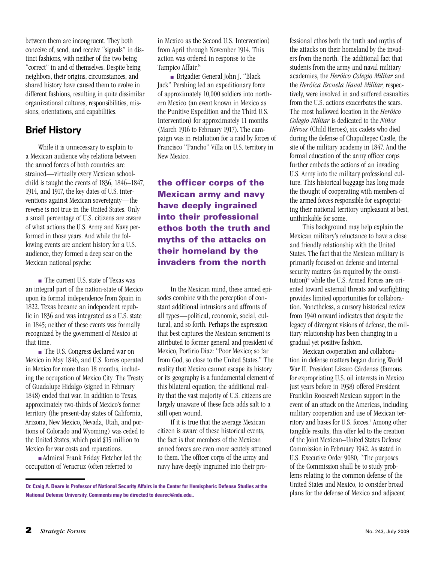between them are incongruent. They both conceive of, send, and receive "signals" in distinct fashions, with neither of the two being "correct" in and of themselves. Despite being neighbors, their origins, circumstances, and shared history have caused them to evolve in different fashions, resulting in quite dissimilar organizational cultures, responsibilities, missions, orientations, and capabilities.

#### **Brief History**

While it is unnecessary to explain to a Mexican audience why relations between the armed forces of both countries are strained—virtually every Mexican schoolchild is taught the events of 1836, 1846–1847, 1914, and 1917, the key dates of U.S. interventions against Mexican sovereignty—the reverse is not true in the United States. Only a small percentage of U.S. citizens are aware of what actions the U.S. Army and Navy performed in those years. And while the following events are ancient history for a U.S. audience, they formed a deep scar on the Mexican national psyche:

■ The current U.S. state of Texas was an integral part of the nation-state of Mexico upon its formal independence from Spain in 1822. Texas became an independent republic in 1836 and was integrated as a U.S. state in 1845; neither of these events was formally recognized by the government of Mexico at that time.

■ The U.S. Congress declared war on Mexico in May 1846, and U.S. forces operated in Mexico for more than 18 months, including the occupation of Mexico City. The Treaty of Guadalupe Hidalgo (signed in February 1848) ended that war. In addition to Texas, approximately two-thirds of Mexico's former territory (the present-day states of California, Arizona, New Mexico, Nevada, Utah, and portions of Colorado and Wyoming) was ceded to the United States, which paid \$15 million to Mexico for war costs and reparations.

■ Admiral Frank Friday Fletcher led the occupation of Veracruz (often referred to

in Mexico as the Second U.S. Intervention) from April through November 1914. This action was ordered in response to the Tampico Affair.<sup>5</sup>

■ Brigadier General John J. "Black Jack" Pershing led an expeditionary force of approximately 10,000 soldiers into northern Mexico (an event known in Mexico as the Punitive Expedition and the Third U.S. Intervention) for approximately 11 months (March 1916 to February 1917). The campaign was in retaliation for a raid by forces of Francisco "Pancho" Villa on U.S. territory in New Mexico.

#### the officer corps of the Mexican army and navy have deeply ingrained into their professional ethos both the truth and myths of the attacks on their homeland by the invaders from the north

In the Mexican mind, these armed episodes combine with the perception of constant additional intrusions and affronts of all types—political, economic, social, cultural, and so forth. Perhaps the expression that best captures the Mexican sentiment is attributed to former general and president of Mexico, Porfirio Diaz: "Poor Mexico; so far from God, so close to the United States." The reality that Mexico cannot escape its history or its geography is a fundamental element of this bilateral equation; the additional reality that the vast majority of U.S. citizens are largely unaware of these facts adds salt to a still open wound.

If it is true that the average Mexican citizen is aware of these historical events, the fact is that members of the Mexican armed forces are even more acutely attuned to them. The officer corps of the army and navy have deeply ingrained into their pro-

fessional ethos both the truth and myths of the attacks on their homeland by the invaders from the north. The additional fact that students from the army and naval military academies, the *Heróico Colegio Militar* and the *Heróica Escuela Naval Militar*, respectively, were involved in and suffered casualties from the U.S. actions exacerbates the scars. The most hallowed location in the *Heróico Colegio Militar* is dedicated to the *Niños Héroes* (Child Heroes), six cadets who died during the defense of Chapultepec Castle, the site of the military academy in 1847. And the formal education of the army officer corps further embeds the actions of an invading U.S. Army into the military professional culture. This historical baggage has long made the thought of cooperating with members of the armed forces responsible for expropriating their national territory unpleasant at best, unthinkable for some.

This background may help explain the Mexican military's reluctance to have a close and friendly relationship with the United States. The fact that the Mexican military is primarily focused on defense and internal security matters (as required by the constitution)<sup>6</sup> while the U.S. Armed Forces are oriented toward external threats and warfighting provides limited opportunities for collaboration. Nonetheless, a cursory historical review from 1940 onward indicates that despite the legacy of divergent visions of defense, the military relationship has been changing in a gradual yet positive fashion.

Mexican cooperation and collaboration in defense matters began during World War II. President Lázaro Cárdenas (famous for expropriating U.S. oil interests in Mexico just years before in 1938) offered President Franklin Roosevelt Mexican support in the event of an attack on the Americas, including military cooperation and use of Mexican territory and bases for U.S. forces.<sup>7</sup> Among other tangible results, this offer led to the creation of the Joint Mexican–United States Defense Commission in February 1942. As stated in U.S. Executive Order 9080, "The purposes of the Commission shall be to study problems relating to the common defense of the United States and Mexico, to consider broad plans for the defense of Mexico and adjacent

**Dr. Craig A. Deare is Professor of National Security Affairs in the Center for Hemispheric Defense Studies at the National Defense University. Comments may be directed to dearec@ndu.edu..**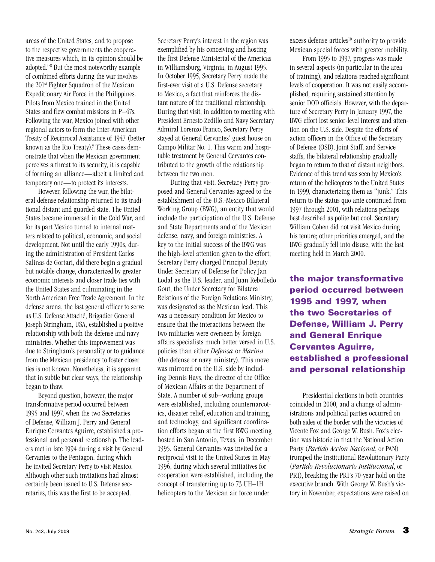areas of the United States, and to propose to the respective governments the cooperative measures which, in its opinion should be adopted."8 But the most noteworthy example of combined efforts during the war involves the 201st Fighter Squadron of the Mexican Expeditionary Air Force in the Philippines. Pilots from Mexico trained in the United States and flew combat missions in P–47s. Following the war, Mexico joined with other regional actors to form the Inter-American Treaty of Reciprocal Assistance of 1947 (better known as the Rio Treaty).<sup>9</sup> These cases demonstrate that when the Mexican government perceives a threat to its security, it is capable of forming an alliance—albeit a limited and temporary one—to protect its interests.

However, following the war, the bilateral defense relationship returned to its traditional distant and guarded state. The United States became immersed in the Cold War, and for its part Mexico turned to internal matters related to political, economic, and social development. Not until the early 1990s, during the administration of President Carlos Salinas de Gortari, did there begin a gradual but notable change, characterized by greater economic interests and closer trade ties with the United States and culminating in the North American Free Trade Agreement. In the defense arena, the last general officer to serve as U.S. Defense Attaché, Brigadier General Joseph Stringham, USA, established a positive relationship with both the defense and navy ministries. Whether this improvement was due to Stringham's personality or to guidance from the Mexican presidency to foster closer ties is not known. Nonetheless, it is apparent that in subtle but clear ways, the relationship began to thaw.

Beyond question, however, the major transformative period occurred between 1995 and 1997, when the two Secretaries of Defense, William J. Perry and General Enrique Cervantes Aguirre, established a professional and personal relationship. The leaders met in late 1994 during a visit by General Cervantes to the Pentagon, during which he invited Secretary Perry to visit Mexico. Although other such invitations had almost certainly been issued to U.S. Defense secretaries, this was the first to be accepted.

Secretary Perry's interest in the region was exemplified by his conceiving and hosting the first Defense Ministerial of the Americas in Williamsburg, Virginia, in August 1995. In October 1995, Secretary Perry made the first-ever visit of a U.S. Defense secretary to Mexico, a fact that reinforces the distant nature of the traditional relationship. During that visit, in addition to meeting with President Ernesto Zedillo and Navy Secretary Admiral Lorenzo Franco, Secretary Perry stayed at General Cervantes' guest house on Campo Militar No. 1. This warm and hospitable treatment by General Cervantes contributed to the growth of the relationship between the two men.

During that visit, Secretary Perry proposed and General Cervantes agreed to the establishment of the U.S.-Mexico Bilateral Working Group (BWG), an entity that would include the participation of the U.S. Defense and State Departments and of the Mexican defense, navy, and foreign ministries. A key to the initial success of the BWG was the high-level attention given to the effort; Secretary Perry charged Principal Deputy Under Secretary of Defense for Policy Jan Lodal as the U.S. leader, and Juan Rebolledo Gout, the Under Secretary for Bilateral Relations of the Foreign Relations Ministry, was designated as the Mexican lead. This was a necessary condition for Mexico to ensure that the interactions between the two militaries were overseen by foreign affairs specialists much better versed in U.S. policies than either *Defensa* or *Marina* (the defense or navy ministry). This move was mirrored on the U.S. side by including Dennis Hays, the director of the Office of Mexican Affairs at the Department of State. A number of sub–working groups were established, including counternarcotics, disaster relief, education and training, and technology, and significant coordination efforts began at the first BWG meeting hosted in San Antonio, Texas, in December 1995. General Cervantes was invited for a reciprocal visit to the United States in May 1996, during which several initiatives for cooperation were established, including the concept of transferring up to 73 UH–1H helicopters to the Mexican air force under

excess defense articles<sup>10</sup> authority to provide Mexican special forces with greater mobility.

From 1995 to 1997, progress was made in several aspects (in particular in the area of training), and relations reached significant levels of cooperation. It was not easily accomplished, requiring sustained attention by senior DOD officials. However, with the departure of Secretary Perry in January 1997, the BWG effort lost senior-level interest and attention on the U.S. side. Despite the efforts of action officers in the Office of the Secretary of Defense (OSD), Joint Staff, and Service staffs, the bilateral relationship gradually began to return to that of distant neighbors. Evidence of this trend was seen by Mexico's return of the helicopters to the United States in 1999, characterizing them as "junk." This return to the status quo ante continued from 1997 through 2001, with relations perhaps best described as polite but cool. Secretary William Cohen did not visit Mexico during his tenure; other priorities emerged, and the BWG gradually fell into disuse, with the last meeting held in March 2000.

the major transformative period occurred between 1995 and 1997, when the two Secretaries of Defense, William J. Perry and General Enrique Cervantes Aguirre, established a professional and personal relationship

Presidential elections in both countries coincided in 2000, and a change of administrations and political parties occurred on both sides of the border with the victories of Vicente Fox and George W. Bush. Fox's election was historic in that the National Action Party (*Partido Accion Nacional*, or PAN) trumped the Institutional Revolutionary Party (*Partido Revolucionario Institucional*, or PRI), breaking the PRI's 70-year hold on the executive branch. With George W. Bush's victory in November, expectations were raised on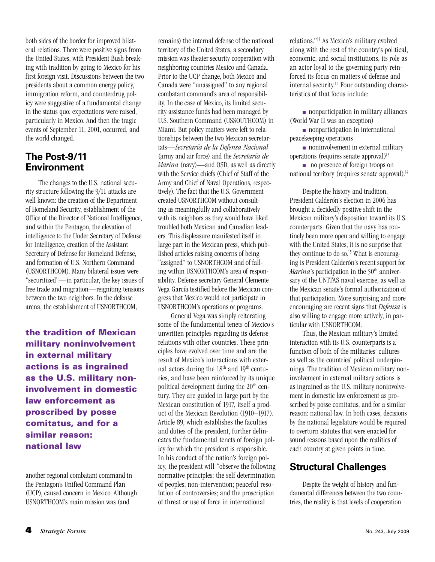both sides of the border for improved bilateral relations. There were positive signs from the United States, with President Bush breaking with tradition by going to Mexico for his first foreign visit. Discussions between the two presidents about a common energy policy, immigration reform, and counterdrug policy were suggestive of a fundamental change in the status quo; expectations were raised, particularly in Mexico. And then the tragic events of September 11, 2001, occurred, and the world changed.

#### **The Post-9/11 Environment**

The changes to the U.S. national security structure following the 9/11 attacks are well known: the creation of the Department of Homeland Security, establishment of the Office of the Director of National Intelligence, and within the Pentagon, the elevation of intelligence to the Under Secretary of Defense for Intelligence, creation of the Assistant Secretary of Defense for Homeland Defense, and formation of U.S. Northern Command (USNORTHCOM). Many bilateral issues were "securitized"—in particular, the key issues of free trade and migration—reigniting tensions between the two neighbors. In the defense arena, the establishment of USNORTHCOM,

the tradition of Mexican military noninvolvement in external military actions is as ingrained as the U.S. military noninvolvement in domestic law enforcement as proscribed by posse comitatus, and for a similar reason: national law

another regional combatant command in the Pentagon's Unified Command Plan (UCP), caused concern in Mexico. Although USNORTHCOM's main mission was (and

remains) the internal defense of the national territory of the United States, a secondary mission was theater security cooperation with neighboring countries Mexico and Canada. Prior to the UCP change, both Mexico and Canada were "unassigned" to any regional combatant command's area of responsibility. In the case of Mexico, its limited security assistance funds had been managed by U.S. Southern Command (USSOUTHCOM) in Miami. But policy matters were left to relationships between the two Mexican secretariats—*Secretaría de la Defensa Nacional* (army and air force) and the *Secretaría de Marina* (navy)—and OSD, as well as directly with the Service chiefs (Chief of Staff of the Army and Chief of Naval Operations, respectively). The fact that the U.S. Government created USNORTHCOM without consulting as meaningfully and collaboratively with its neighbors as they would have liked troubled both Mexican and Canadian leaders. This displeasure manifested itself in large part in the Mexican press, which published articles raising concerns of being "assigned" to USNORTHCOM and of falling within USNORTHCOM's area of responsibility. Defense secretary General Clemente Vega García testified before the Mexican congress that Mexico would not participate in USNORTHCOM's operations or programs.

General Vega was simply reiterating some of the fundamental tenets of Mexico's unwritten principles regarding its defense relations with other countries. These principles have evolved over time and are the result of Mexico's interactions with external actors during the 18th and 19th centuries, and have been reinforced by its unique political development during the 20<sup>th</sup> century. They are guided in large part by the Mexican constitution of 1917, itself a product of the Mexican Revolution (1910–1917). Article 89, which establishes the faculties and duties of the president, further delineates the fundamental tenets of foreign policy for which the president is responsible. In his conduct of the nation's foreign policy, the president will "observe the following normative principles: the self determination of peoples; non-intervention; peaceful resolution of controversies; and the proscription of threat or use of force in international

relations."11 As Mexico's military evolved along with the rest of the country's political, economic, and social institutions, its role as an actor loyal to the governing party reinforced its focus on matters of defense and internal security.12 Four outstanding characteristics of that focus include:

■ nonparticipation in military alliances (World War II was an exception)

■ nonparticipation in international peacekeeping operations

■ noninvolvement in external military operations (requires senate approval) $13$ 

■ no presence of foreign troops on national territory (requires senate approval).14

Despite the history and tradition, President Calderón's election in 2006 has brought a decidedly positive shift in the Mexican military's disposition toward its U.S. counterparts. Given that the navy has routinely been more open and willing to engage with the United States, it is no surprise that they continue to do so.<sup>15</sup> What is encouraging is President Calderón's recent support for *Marina*'s participation in the 50<sup>th</sup> anniversary of the UNITAS naval exercise, as well as the Mexican senate's formal authorization of that participation. More surprising and more encouraging are recent signs that *Defensa* is also willing to engage more actively, in particular with USNORTHCOM.

Thus, the Mexican military's limited interaction with its U.S. counterparts is a function of both of the militaries' cultures as well as the countries' political underpinnings. The tradition of Mexican military noninvolvement in external military actions is as ingrained as the U.S. military noninvolvement in domestic law enforcement as proscribed by posse comitatus, and for a similar reason: national law. In both cases, decisions by the national legislature would be required to overturn statutes that were enacted for sound reasons based upon the realities of each country at given points in time.

#### **Structural Challenges**

Despite the weight of history and fundamental differences between the two countries, the reality is that levels of cooperation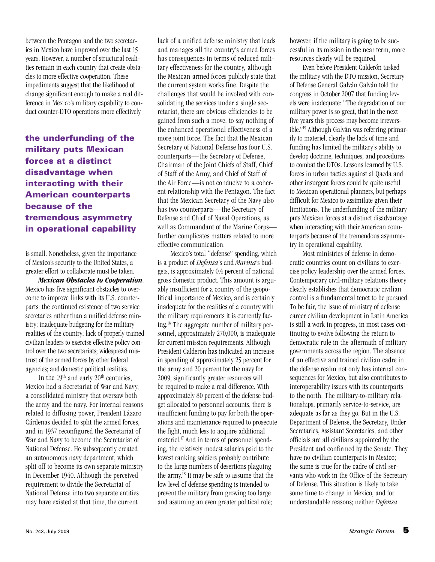between the Pentagon and the two secretaries in Mexico have improved over the last 15 years. However, a number of structural realities remain in each country that create obstacles to more effective cooperation. These impediments suggest that the likelihood of change significant enough to make a real difference in Mexico's military capability to conduct counter-DTO operations more effectively

#### the underfunding of the military puts Mexican forces at a distinct disadvantage when interacting with their American counterparts because of the tremendous asymmetry in operational capability

is small. Nonetheless, given the importance of Mexico's security to the United States, a greater effort to collaborate must be taken.

*Mexican Obstacles to Cooperation*. Mexico has five significant obstacles to overcome to improve links with its U.S. counterparts: the continued existence of two service secretaries rather than a unified defense ministry; inadequate budgeting for the military realities of the country; lack of properly trained civilian leaders to exercise effective policy control over the two secretariats; widespread mistrust of the armed forces by other federal agencies; and domestic political realities.

In the 19<sup>th</sup> and early 20<sup>th</sup> centuries, Mexico had a Secretariat of War and Navy, a consolidated ministry that oversaw both the army and the navy. For internal reasons related to diffusing power, President Lázaro Cárdenas decided to split the armed forces, and in 1937 reconfigured the Secretariat of War and Navy to become the Secretariat of National Defense. He subsequently created an autonomous navy department, which split off to become its own separate ministry in December 1940. Although the perceived requirement to divide the Secretariat of National Defense into two separate entities may have existed at that time, the current

lack of a unified defense ministry that leads and manages all the country's armed forces has consequences in terms of reduced military effectiveness for the country, although the Mexican armed forces publicly state that the current system works fine. Despite the challenges that would be involved with consolidating the services under a single secretariat, there are obvious efficiencies to be gained from such a move, to say nothing of the enhanced operational effectiveness of a more joint force. The fact that the Mexican Secretary of National Defense has four U.S. counterparts—the Secretary of Defense, Chairman of the Joint Chiefs of Staff, Chief of Staff of the Army, and Chief of Staff of the Air Force—is not conducive to a coherent relationship with the Pentagon. The fact that the Mexican Secretary of the Navy also has two counterparts—the Secretary of Defense and Chief of Naval Operations, as well as Commandant of the Marine Corps further complicates matters related to more effective communication.

Mexico's total "defense" spending, which is a product of *Defensa*'s and *Marina*'s budgets, is approximately 0.4 percent of national gross domestic product. This amount is arguably insufficient for a country of the geopolitical importance of Mexico, and is certainly inadequate for the realities of a country with the military requirements it is currently facing.16 The aggregate number of military personnel, approximately 270,000, is inadequate for current mission requirements. Although President Calderón has indicated an increase in spending of approximately 25 percent for the army and 20 percent for the navy for 2009, significantly greater resources will be required to make a real difference. With approximately 80 percent of the defense budget allocated to personnel accounts, there is insufficient funding to pay for both the operations and maintenance required to prosecute the fight, much less to acquire additional materiel.17 And in terms of personnel spending, the relatively modest salaries paid to the lowest ranking soldiers probably contribute to the large numbers of desertions plaguing the army.18 It may be safe to assume that the low level of defense spending is intended to prevent the military from growing too large and assuming an even greater political role;

however, if the military is going to be successful in its mission in the near term, more resources clearly will be required.

Even before President Calderón tasked the military with the DTO mission, Secretary of Defense General Galván Galván told the congress in October 2007 that funding levels were inadequate: "The degradation of our military power is so great, that in the next five years this process may become irreversible."19 Although Galván was referring primarily to materiel, clearly the lack of time and funding has limited the military's ability to develop doctrine, techniques, and procedures to combat the DTOs. Lessons learned by U.S. forces in urban tactics against al Qaeda and other insurgent forces could be quite useful to Mexican operational planners, but perhaps difficult for Mexico to assimilate given their limitations. The underfunding of the military puts Mexican forces at a distinct disadvantage when interacting with their American counterparts because of the tremendous asymmetry in operational capability.

Most ministries of defense in democratic countries count on civilians to exercise policy leadership over the armed forces. Contemporary civil-military relations theory clearly establishes that democratic civilian control is a fundamental tenet to be pursued. To be fair, the issue of ministry of defense career civilian development in Latin America is still a work in progress, in most cases continuing to evolve following the return to democratic rule in the aftermath of military governments across the region. The absence of an effective and trained civilian cadre in the defense realm not only has internal consequences for Mexico, but also contributes to interoperability issues with its counterparts to the north. The military-to-military relationships, primarily service-to-service, are adequate as far as they go. But in the U.S. Department of Defense, the Secretary, Under Secretaries, Assistant Secretaries, and other officials are all civilians appointed by the President and confirmed by the Senate. They have no civilian counterparts in Mexico; the same is true for the cadre of civil servants who work in the Office of the Secretary of Defense. This situation is likely to take some time to change in Mexico, and for understandable reasons; neither *Defensa*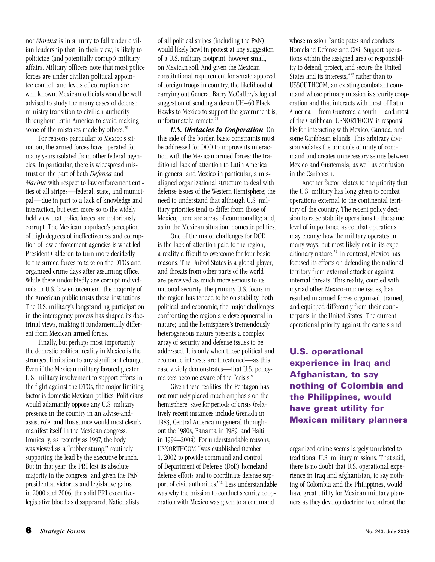nor *Marina* is in a hurry to fall under civilian leadership that, in their view, is likely to politicize (and potentially corrupt) military affairs. Military officers note that most police forces are under civilian political appointee control, and levels of corruption are well known. Mexican officials would be well advised to study the many cases of defense ministry transition to civilian authority throughout Latin America to avoid making some of the mistakes made by others.<sup>20</sup>

For reasons particular to Mexico's situation, the armed forces have operated for many years isolated from other federal agencies. In particular, there is widespread mistrust on the part of both *Defensa* and *Marina* with respect to law enforcement entities of all stripes—federal, state, and municipal—due in part to a lack of knowledge and interaction, but even more so to the widely held view that police forces are notoriously corrupt. The Mexican populace's perception of high degrees of ineffectiveness and corruption of law enforcement agencies is what led President Calderón to turn more decidedly to the armed forces to take on the DTOs and organized crime days after assuming office. While there undoubtedly are corrupt individuals in U.S. law enforcement, the majority of the American public trusts those institutions. The U.S. military's longstanding participation in the interagency process has shaped its doctrinal views, making it fundamentally different from Mexican armed forces.

Finally, but perhaps most importantly, the domestic political reality in Mexico is the strongest limitation to any significant change. Even if the Mexican military favored greater U.S. military involvement to support efforts in the fight against the DTOs, the major limiting factor is domestic Mexican politics. Politicians would adamantly oppose any U.S. military presence in the country in an advise-andassist role, and this stance would most clearly manifest itself in the Mexican congress. Ironically, as recently as 1997, the body was viewed as a "rubber stamp," routinely supporting the lead by the executive branch. But in that year, the PRI lost its absolute majority in the congress, and given the PAN presidential victories and legislative gains in 2000 and 2006, the solid PRI executivelegislative bloc has disappeared. Nationalists

of all political stripes (including the PAN) would likely howl in protest at any suggestion of a U.S. military footprint, however small, on Mexican soil. And given the Mexican constitutional requirement for senate approval of foreign troops in country, the likelihood of carrying out General Barry McCaffrey's logical suggestion of sending a dozen UH–60 Black Hawks to Mexico to support the government is, unfortunately, remote.<sup>21</sup>

*U.S. Obstacles to Cooperation*. On this side of the border, basic constraints must be addressed for DOD to improve its interaction with the Mexican armed forces: the traditional lack of attention to Latin America in general and Mexico in particular; a misaligned organizational structure to deal with defense issues of the Western Hemisphere; the need to understand that although U.S. military priorities tend to differ from those of Mexico, there are areas of commonality; and, as in the Mexican situation, domestic politics.

One of the major challenges for DOD is the lack of attention paid to the region, a reality difficult to overcome for four basic reasons. The United States is a global player, and threats from other parts of the world are perceived as much more serious to its national security; the primary U.S. focus in the region has tended to be on stability, both political and economic; the major challenges confronting the region are developmental in nature; and the hemisphere's tremendously heterogeneous nature presents a complex array of security and defense issues to be addressed. It is only when those political and economic interests are threatened—as this case vividly demonstrates—that U.S. policymakers become aware of the "crisis."

Given these realities, the Pentagon has not routinely placed much emphasis on the hemisphere, save for periods of crisis (relatively recent instances include Grenada in 1983, Central America in general throughout the 1980s, Panama in 1989, and Haiti in 1994–2004). For understandable reasons, USNORTHCOM "was established October 1, 2002 to provide command and control of Department of Defense (DoD) homeland defense efforts and to coordinate defense support of civil authorities."22 Less understandable was why the mission to conduct security cooperation with Mexico was given to a command

whose mission "anticipates and conducts Homeland Defense and Civil Support operations within the assigned area of responsibility to defend, protect, and secure the United States and its interests,"23 rather than to USSOUTHCOM, an existing combatant command whose primary mission is security cooperation and that interacts with most of Latin America—from Guatemala south—and most of the Caribbean. USNORTHCOM is responsible for interacting with Mexico, Canada, and some Caribbean islands. This arbitrary division violates the principle of unity of command and creates unnecessary seams between Mexico and Guatemala, as well as confusion in the Caribbean.

Another factor relates to the priority that the U.S. military has long given to combat operations external to the continental territory of the country. The recent policy decision to raise stability operations to the same level of importance as combat operations may change how the military operates in many ways, but most likely not in its expeditionary nature.24 In contrast, Mexico has focused its efforts on defending the national territory from external attack or against internal threats. This reality, coupled with myriad other Mexico-unique issues, has resulted in armed forces organized, trained, and equipped differently from their counterparts in the United States. The current operational priority against the cartels and

U.S. operational experience in Iraq and Afghanistan, to say nothing of Colombia and the Philippines, would have great utility for Mexican military planners

organized crime seems largely unrelated to traditional U.S. military missions. That said, there is no doubt that U.S. operational experience in Iraq and Afghanistan, to say nothing of Colombia and the Philippines, would have great utility for Mexican military planners as they develop doctrine to confront the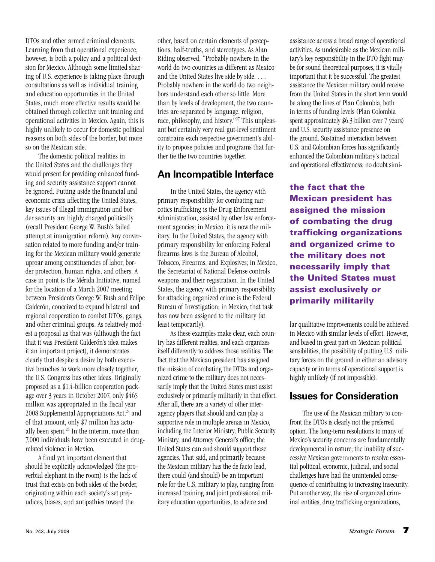DTOs and other armed criminal elements. Learning from that operational experience, however, is both a policy and a political decision for Mexico. Although some limited sharing of U.S. experience is taking place through consultations as well as individual training and education opportunities in the United States, much more effective results would be obtained through collective unit training and operational activities in Mexico. Again, this is highly unlikely to occur for domestic political reasons on both sides of the border, but more so on the Mexican side.

The domestic political realities in the United States and the challenges they would present for providing enhanced funding and security assistance support cannot be ignored. Putting aside the financial and economic crisis affecting the United States, key issues of illegal immigration and border security are highly charged politically (recall President George W. Bush's failed attempt at immigration reform). Any conversation related to more funding and/or training for the Mexican military would generate uproar among constituencies of labor, border protection, human rights, and others. A case in point is the Mérida Initiative, named for the location of a March 2007 meeting between Presidents George W. Bush and Felipe Calderón, conceived to expand bilateral and regional cooperation to combat DTOs, gangs, and other criminal groups. As relatively modest a proposal as that was (although the fact that it was President Calderón's idea makes it an important project), it demonstrates clearly that despite a desire by both executive branches to work more closely together, the U.S. Congress has other ideas. Originally proposed as a \$1.4-billion cooperation package over 3 years in October 2007, only \$465 million was appropriated in the fiscal year 2008 Supplemental Appropriations Act,<sup>25</sup> and of that amount, only \$7 million has actually been spent.26 In the interim, more than 7,000 individuals have been executed in drugrelated violence in Mexico.

A final yet important element that should be explicitly acknowledged (the proverbial elephant in the room) is the lack of trust that exists on both sides of the border, originating within each society's set prejudices, biases, and antipathies toward the

other, based on certain elements of perceptions, half-truths, and stereotypes. As Alan Riding observed, "Probably nowhere in the world do two countries as different as Mexico and the United States live side by side. . . . Probably nowhere in the world do two neighbors understand each other so little. More than by levels of development, the two countries are separated by language, religion, race, philosophy, and history."27 This unpleasant but certainly very real gut-level sentiment constrains each respective government's ability to propose policies and programs that further tie the two countries together.

#### **An Incompatible Interface**

In the United States, the agency with primary responsibility for combating narcotics trafficking is the Drug Enforcement Administration, assisted by other law enforcement agencies; in Mexico, it is now the military. In the United States, the agency with primary responsibility for enforcing Federal firearms laws is the Bureau of Alcohol, Tobacco, Firearms, and Explosives; in Mexico, the Secretariat of National Defense controls weapons and their registration. In the United States, the agency with primary responsibility for attacking organized crime is the Federal Bureau of Investigation; in Mexico, that task has now been assigned to the military (at least temporarily).

As these examples make clear, each country has different realties, and each organizes itself differently to address those realities. The fact that the Mexican president has assigned the mission of combating the DTOs and organized crime to the military does not necessarily imply that the United States must assist exclusively or primarily militarily in that effort. After all, there are a variety of other interagency players that should and can play a supportive role in multiple arenas in Mexico, including the Interior Ministry, Public Security Ministry, and Attorney General's office; the United States can and should support those agencies. That said, and primarily because the Mexican military has the de facto lead, there could (and should) be an important role for the U.S. military to play, ranging from increased training and joint professional military education opportunities, to advice and

assistance across a broad range of operational activities. As undesirable as the Mexican military's key responsibility in the DTO fight may be for sound theoretical purposes, it is vitally important that it be successful. The greatest assistance the Mexican military could receive from the United States in the short term would be along the lines of Plan Colombia, both in terms of funding levels (Plan Colombia spent approximately \$6.3 billion over 7 years) and U.S. security assistance presence on the ground. Sustained interaction between U.S. and Colombian forces has significantly enhanced the Colombian military's tactical and operational effectiveness; no doubt simi-

the fact that the Mexican president has assigned the mission of combating the drug trafficking organizations and organized crime to the military does not necessarily imply that the United States must assist exclusively or primarily militarily

lar qualitative improvements could be achieved in Mexico with similar levels of effort. However, and based in great part on Mexican political sensibilities, the possibility of putting U.S. military forces on the ground in either an advisory capacity or in terms of operational support is highly unlikely (if not impossible).

#### **Issues for Consideration**

The use of the Mexican military to confront the DTOs is clearly not the preferred option. The long-term resolutions to many of Mexico's security concerns are fundamentally developmental in nature; the inability of successive Mexican governments to resolve essential political, economic, judicial, and social challenges have had the unintended consequence of contributing to increasing insecurity. Put another way, the rise of organized criminal entities, drug trafficking organizations,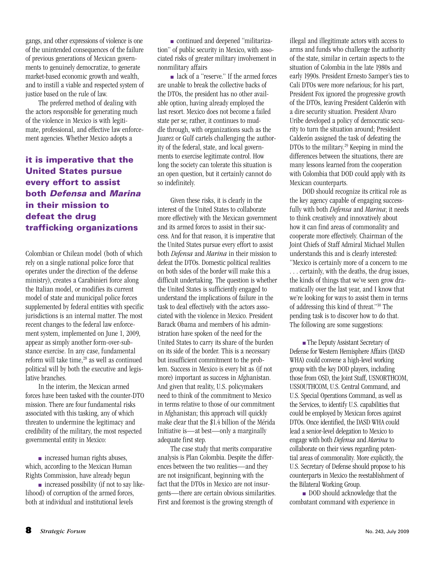gangs, and other expressions of violence is one of the unintended consequences of the failure of previous generations of Mexican governments to genuinely democratize, to generate market-based economic growth and wealth, and to instill a viable and respected system of justice based on the rule of law.

The preferred method of dealing with the actors responsible for generating much of the violence in Mexico is with legitimate, professional, and effective law enforcement agencies. Whether Mexico adopts a

#### it is imperative that the United States pursue every effort to assist both *Defensa* and *Marina* in their mission to defeat the drug trafficking organizations

Colombian or Chilean model (both of which rely on a single national police force that operates under the direction of the defense ministry), creates a Carabinieri force along the Italian model, or modifies its current model of state and municipal police forces supplemented by federal entities with specific jurisdictions is an internal matter. The most recent changes to the federal law enforcement system, implemented on June 1, 2009, appear as simply another form-over-substance exercise. In any case, fundamental reform will take time,<sup>28</sup> as well as continued political will by both the executive and legislative branches.

In the interim, the Mexican armed forces have been tasked with the counter-DTO mission. There are four fundamental risks associated with this tasking, any of which threaten to undermine the legitimacy and credibility of the military, the most respected governmental entity in Mexico:

■ increased human rights abuses, which, according to the Mexican Human Rights Commission, have already begun

■ increased possibility (if not to say likelihood) of corruption of the armed forces, both at individual and institutional levels

■ continued and deepened "militarization" of public security in Mexico, with associated risks of greater military involvement in nonmilitary affairs

■ lack of a "reserve." If the armed forces are unable to break the collective backs of the DTOs, the president has no other available option, having already employed the last resort. Mexico does not become a failed state per se; rather, it continues to muddle through, with organizations such as the Juarez or Gulf cartels challenging the authority of the federal, state, and local governments to exercise legitimate control. How long the society can tolerate this situation is an open question, but it certainly cannot do so indefinitely.

Given these risks, it is clearly in the interest of the United States to collaborate more effectively with the Mexican government and its armed forces to assist in their success. And for that reason, it is imperative that the United States pursue every effort to assist both *Defensa* and *Marina* in their mission to defeat the DTOs. Domestic political realities on both sides of the border will make this a difficult undertaking. The question is whether the United States is sufficiently engaged to understand the implications of failure in the task to deal effectively with the actors associated with the violence in Mexico. President Barack Obama and members of his administration have spoken of the need for the United States to carry its share of the burden on its side of the border. This is a necessary but insufficient commitment to the problem. Success in Mexico is every bit as (if not more) important as success in Afghanistan. And given that reality, U.S. policymakers need to think of the commitment to Mexico in terms relative to those of our commitment in Afghanistan; this approach will quickly make clear that the \$1.4 billion of the Mérida Initiative is—at best—only a marginally adequate first step.

The case study that merits comparative analysis is Plan Colombia. Despite the differences between the two realities—and they are not insignificant, beginning with the fact that the DTOs in Mexico are not insurgents—there are certain obvious similarities. First and foremost is the growing strength of

illegal and illegitimate actors with access to arms and funds who challenge the authority of the state, similar in certain aspects to the situation of Colombia in the late 1980s and early 1990s. President Ernesto Samper's ties to Cali DTOs were more nefarious; for his part, President Fox ignored the progressive growth of the DTOs, leaving President Calderón with a dire security situation. President Alvaro Uribe developed a policy of democratic security to turn the situation around; President Calderón assigned the task of defeating the DTOs to the military.<sup>29</sup> Keeping in mind the differences between the situations, there are many lessons learned from the cooperation with Colombia that DOD could apply with its Mexican counterparts.

DOD should recognize its critical role as the key agency capable of engaging successfully with both *Defensa* and *Marina*; it needs to think creatively and innovatively about how it can find areas of commonality and cooperate more effectively. Chairman of the Joint Chiefs of Staff Admiral Michael Mullen understands this and is clearly interested: "Mexico is certainly more of a concern to me . . . certainly, with the deaths, the drug issues, the kinds of things that we've seen grow dramatically over the last year, and I know that we're looking for ways to assist them in terms of addressing this kind of threat."30 The pending task is to discover how to do that.

The following are some suggestions:

■ The Deputy Assistant Secretary of Defense for Western Hemisphere Affairs (DASD WHA) could convene a high-level working group with the key DOD players, including those from OSD, the Joint Staff, USNORTHCOM, USSOUTHCOM, U.S. Central Command, and U.S. Special Operations Command, as well as the Services, to identify U.S. capabilities that could be employed by Mexican forces against DTOs. Once identified, the DASD WHA could lead a senior-level delegation to Mexico to engage with both *Defensa* and *Marina* to collaborate on their views regarding potential areas of commonality. More explicitly, the U.S. Secretary of Defense should propose to his counterparts in Mexico the reestablishment of the Bilateral Working Group.

■ DOD should acknowledge that the combatant command with experience in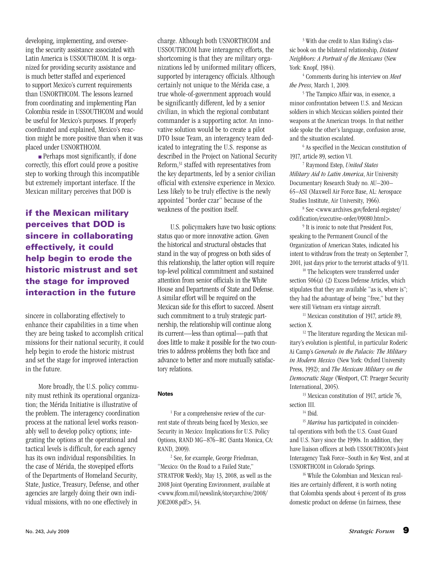developing, implementing, and overseeing the security assistance associated with Latin America is USSOUTHCOM. It is organized for providing security assistance and is much better staffed and experienced to support Mexico's current requirements than USNORTHCOM. The lessons learned from coordinating and implementing Plan Colombia reside in USSOUTHCOM and would be useful for Mexico's purposes. If properly coordinated and explained, Mexico's reaction might be more positive than when it was placed under USNORTHCOM.

■ Perhaps most significantly, if done correctly, this effort could prove a positive step to working through this incompatible but extremely important interface. If the Mexican military perceives that DOD is

if the Mexican military perceives that DOD is sincere in collaborating effectively, it could help begin to erode the historic mistrust and set the stage for improved interaction in the future

sincere in collaborating effectively to enhance their capabilities in a time when they are being tasked to accomplish critical missions for their national security, it could help begin to erode the historic mistrust and set the stage for improved interaction in the future.

More broadly, the U.S. policy community must rethink its operational organization; the Mérida Initiative is illustrative of the problem. The interagency coordination process at the national level works reasonably well to develop policy options; integrating the options at the operational and tactical levels is difficult, for each agency has its own individual responsibilities. In the case of Mérida, the stovepiped efforts of the Departments of Homeland Security, State, Justice, Treasury, Defense, and other agencies are largely doing their own individual missions, with no one effectively in

charge. Although both USNORTHCOM and USSOUTHCOM have interagency efforts, the shortcoming is that they are military organizations led by uniformed military officers, supported by interagency officials. Although certainly not unique to the Mérida case, a true whole-of-government approach would be significantly different, led by a senior civilian, in which the regional combatant commander is a supporting actor. An innovative solution would be to create a pilot DTO Issue Team, an interagency team dedicated to integrating the U.S. response as described in the Project on National Security Reform,31 staffed with representatives from the key departments, led by a senior civilian official with extensive experience in Mexico. Less likely to be truly effective is the newly appointed "border czar" because of the weakness of the position itself.

U.S. policymakers have two basic options: status quo or more innovative action. Given the historical and structural obstacles that stand in the way of progress on both sides of this relationship, the latter option will require top-level political commitment and sustained attention from senior officials in the White House and Departments of State and Defense. A similar effort will be required on the Mexican side for this effort to succeed. Absent such commitment to a truly strategic partnership, the relationship will continue along its current—less than optimal—path that does little to make it possible for the two countries to address problems they both face and advance to better and more mutually satisfactory relations.

#### **Notes**

<sup>1</sup> For a comprehensive review of the current state of threats being faced by Mexico, see Security in Mexico: Implications for U.S. Policy Options, RAND MG–876–RC (Santa Monica, CA: RAND, 2009).

2 See, for example, George Friedman, "Mexico: On the Road to a Failed State," STRATFOR Weekly, May 13, 2008, as well as the 2008 Joint Operating Environment, available at <www.jfcom.mil/newslink/storyarchive/2008/ JOE2008.pdf>, 34.

<sup>3</sup> With due credit to Alan Riding's classic book on the bilateral relationship, *Distant Neighbors: A Portrait of the Mexicans* (New York: Knopf, 1984).

4 Comments during his interview on *Meet the Press*, March 1, 2009.

5 The Tampico Affair was, in essence, a minor confrontation between U.S. and Mexican soldiers in which Mexican soldiers pointed their weapons at the American troops. In that neither side spoke the other's language, confusion arose, and the situation escalated.

6 As specified in the Mexican constitution of 1917, article 89, section VI.

7 Raymond Estep, *United States Military Aid to Latin America*, Air University Documentary Research Study no. AU–200– 65–ASI (Maxwell Air Force Base, AL: Aerospace Studies Institute, Air University, 1966).

8 See <www.archives.gov/federal-register/ codification/executive-order/09080.html>.

<sup>9</sup> It is ironic to note that President Fox, speaking to the Permanent Council of the Organization of American States, indicated his intent to withdraw from the treaty on September 7, 2001, just days prior to the terrorist attacks of 9/11.

<sup>10</sup> The helicopters were transferred under section 506(a) (2) Excess Defense Articles, which stipulates that they are available "as is, where is"; they had the advantage of being "free," but they were still Vietnam era vintage aircraft.

<sup>11</sup> Mexican constitution of 1917, article 89, section X.

<sup>12</sup> The literature regarding the Mexican military's evolution is plentiful, in particular Roderic Ai Camp's *Generals in the Palacio: The Military in Modern Mexico* (New York: Oxford University Press, 1992); and *The Mexican Military on the Democratic Stage* (Westport, CT: Praeger Security International, 2005).

<sup>13</sup> Mexican constitution of 1917, article 76, section III.

<sup>15</sup> *Marina* has participated in coincidental operations with both the U.S. Coast Guard and U.S. Navy since the 1990s. In addition, they have liaison officers at both USSOUTHCOM's Joint Interagency Task Force–South in Key West, and at USNORTHCOM in Colorado Springs.

<sup>16</sup> While the Colombian and Mexican realities are certainly different, it is worth noting that Colombia spends about 4 percent of its gross domestic product on defense (in fairness, these

 $14$  Ibid.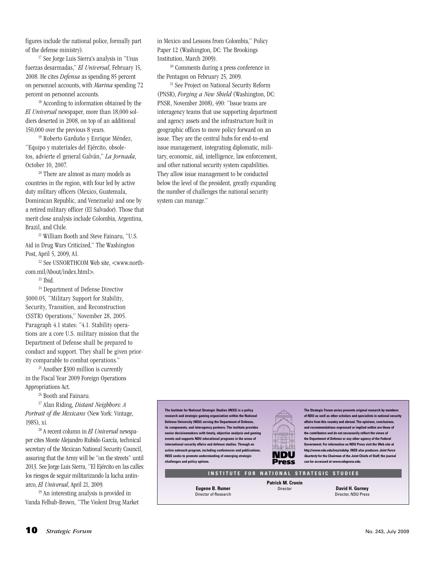figures include the national police, formally part of the defense ministry).

17 See Jorge Luis Sierra's analysis in "Unas fuerzas desarmadas," *El Universal*, February 15, 2008. He cites *Defensa* as spending 85 percent on personnel accounts, with *Marina* spending 72 percent on personnel accounts.

<sup>18</sup> According to information obtained by the *El Universal* newspaper, more than 18,000 soldiers deserted in 2008, on top of an additional 150,000 over the previous 8 years.

19 Roberto Garduño y Enrique Méndez, "Equipo y materiales del Ejército, obsoletos, advierte el general Galván," *La Jornada*, October 10, 2007.

<sup>20</sup> There are almost as many models as countries in the region, with four led by active duty military officers (Mexico, Guatemala, Dominican Republic, and Venezuela) and one by a retired military officer (El Salvador). Those that merit close analysis include Colombia, Argentina, Brazil, and Chile.

21 William Booth and Steve Fainaru, "U.S. Aid in Drug Wars Criticized," The Washington Post, April 5, 2009, A1.

22 See USNORTHCOM Web site, <www.northcom.mil/About/index.html>.

 $23$  Ihid.

<sup>24</sup> Department of Defense Directive 3000.05, "Military Support for Stability, Security, Transition, and Reconstruction (SSTR) Operations," November 28, 2005. Paragraph 4.1 states: "4.1. Stability operations are a core U.S. military mission that the Department of Defense shall be prepared to conduct and support. They shall be given priority comparable to combat operations."

 $25$  Another \$300 million is currently in the Fiscal Year 2009 Foreign Operations Appropriations Act.

26 Booth and Fainaru.

27 Alan Riding, *Distant Neighbors: A Portrait of the Mexicans* (New York: Vintage, 1985), xi.

28 A recent column in *El Universal* newspaper cites Monte Alejandro Rubido García, technical secretary of the Mexican National Security Council, assuring that the Army will be "on the streets" until 2013. See Jorge Luis Sierra, "El Ejército en las calles: los riesgos de seguir militarizando la lucha antinarco, *El Universal*, April 21, 2009.

29 An interesting analysis is provided in Vanda Felbab-Brown, "The Violent Drug Market in Mexico and Lessons from Colombia," Policy Paper 12 (Washington, DC: The Brookings Institution, March 2009).

30 Comments during a press conference in the Pentagon on February 25, 2009.

<sup>31</sup> See Project on National Security Reform (PNSR), *Forging a New Shield* (Washington, DC: PNSR, November 2008), 490: "Issue teams are interagency teams that use supporting department and agency assets and the infrastructure built in geographic offices to move policy forward on an issue. They are the central hubs for end-to-end issue management, integrating diplomatic, military, economic, aid, intelligence, law enforcement, and other national security system capabilities. They allow issue management to be conducted below the level of the president, greatly expanding the number of challenges the national security system can manage."

**The Institute for National Strategic Studies (INSS) is a policy**  research and strategic gaming organization within the Nation **Defense University (NDU) serving the Department of Defense, its components, and interagency partners. The institute provides senior decisionmakers with timely, objective analysis and gaming events and supports NDU educational programs in the areas of international security affairs and defense studies. Through an active outreach program, including conferences and publications, INSS seeks to promote understanding of emerging strategic challenges and policy options.** 



**The Strategic Forum series presents original research by me of NDU as well as other scholars and specialists in national security affairs from this country and abroad. The opinions, conclusions, and recommendations expressed or implied within are those of the contributors and do not necessarily reflect the views of the Department of Defense or any other agency of the Federal Government. For information on NDU Press visit the Web site at http://www.ndu.edu/inss/nduhp. INSS also produces** *Joint Force Quarterly* **for the Chairman of the Joint Chiefs of Staff; the journal can be accessed at www.ndupress.edu.**

**INSTITUTE FOR NATIONAL STRATEGIC STUDIES** 

**Patrick M. Cronin Eugene B. Rumer** Director **David H. Gurney**

Director of Research Director, NDU Press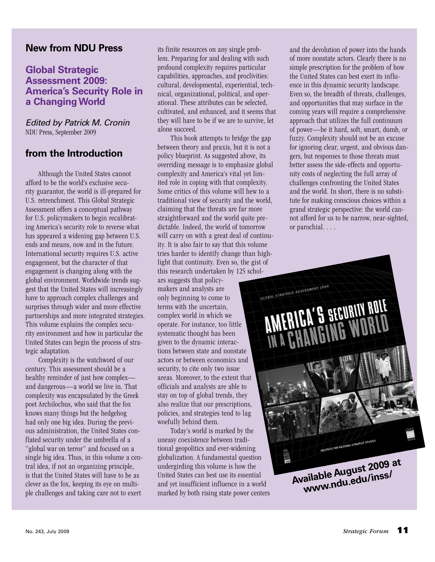#### **New from NDU Press**

**Global Strategic Assessment 2009: America's Security Role in a Changing World**

*Edited by Patrick M. Cronin* NDU Press, September 2009

#### **from the Introduction**

Although the United States cannot afford to be the world's exclusive security guarantor, the world is ill-prepared for U.S. retrenchment. This Global Strategic Assessment offers a conceptual pathway for U.S. policymakers to begin recalibrating America's security role to reverse what has appeared a widening gap between U.S. ends and means, now and in the future. International security requires U.S. active engagement, but the character of that engagement is changing along with the global environment. Worldwide trends suggest that the United States will increasingly have to approach complex challenges and surprises through wider and more effective partnerships and more integrated strategies. This volume explains the complex security environment and how in particular the United States can begin the process of strategic adaptation.

Complexity is the watchword of our century. This assessment should be a healthy reminder of just how complex and dangerous—a world we live in. That complexity was encapsulated by the Greek poet Archilochus, who said that the fox knows many things but the hedgehog had only one big idea. During the previous administration, the United States conflated security under the umbrella of a "global war on terror" and focused on a single big idea. Thus, in this volume a central idea, if not an organizing principle, is that the United States will have to be as clever as the fox, keeping its eye on multiple challenges and taking care not to exert

its finite resources on any single problem. Preparing for and dealing with such profound complexity requires particular capabilities, approaches, and proclivities: cultural, developmental, experiential, technical, organizational, political, and operational. These attributes can be selected, cultivated, and enhanced, and it seems that they will have to be if we are to survive, let alone succeed.

This book attempts to bridge the gap between theory and praxis, but it is not a policy blueprint. As suggested above, its overriding message is to emphasize global complexity and America's vital yet limited role in coping with that complexity. Some critics of this volume will hew to a traditional view of security and the world, claiming that the threats are far more straightforward and the world quite predictable. Indeed, the world of tomorrow will carry on with a great deal of continuity. It is also fair to say that this volume tries harder to identify change than highlight that continuity. Even so, the gist of this research undertaken by 125 schol-

ars suggests that policymakers and analysts are only beginning to come to terms with the uncertain, complex world in which we operate. For instance, too little systematic thought has been given to the dynamic interactions between state and nonstate actors or between economics and security, to cite only two issue areas. Moreover, to the extent that officials and analysts are able to stay on top of global trends, they also realize that our prescriptions, policies, and strategies tend to lag woefully behind them.

Today's world is marked by the uneasy coexistence between traditional geopolitics and ever-widening globalization. A fundamental question undergirding this volume is how the United States can best use its essential and yet insufficient influence in a world marked by both rising state power centers and the devolution of power into the hands of more nonstate actors. Clearly there is no simple prescription for the problem of how the United States can best exert its influence in this dynamic security landscape. Even so, the breadth of threats, challenges, and opportunities that may surface in the coming years will require a comprehensive approach that utilizes the full continuum of power—be it hard, soft, smart, dumb, or fuzzy. Complexity should not be an excuse for ignoring clear, urgent, and obvious dangers, but responses to those threats must better assess the side-effects and opportunity costs of neglecting the full array of challenges confronting the United States and the world. In short, there is no substitute for making conscious choices within a grand strategic perspective: the world cannot afford for us to be narrow, near-sighted, or parochial. . . .